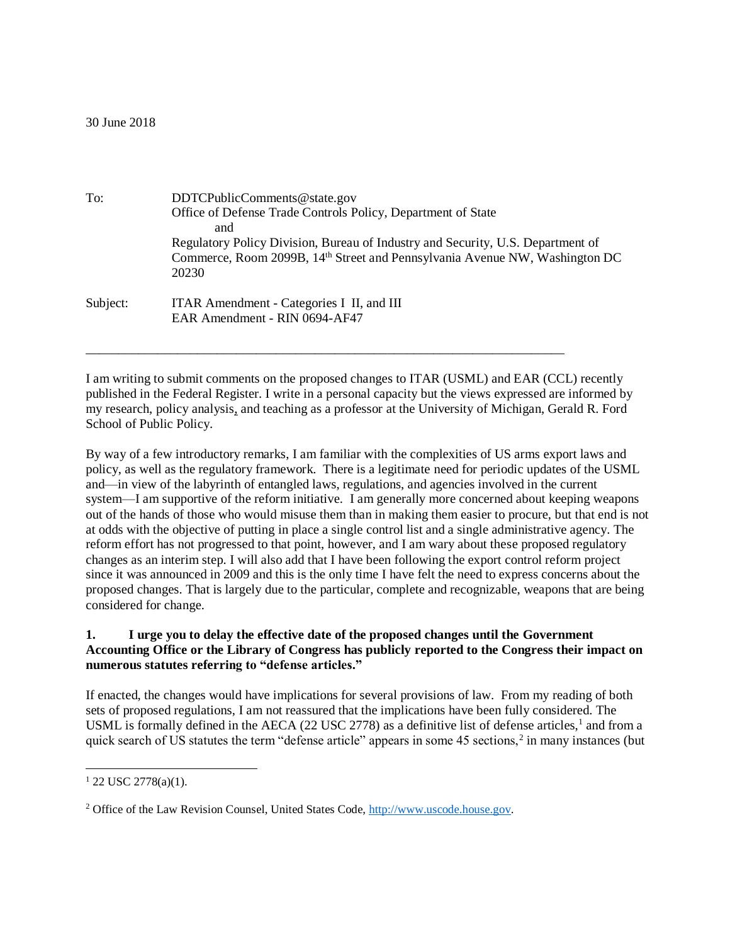#### 30 June 2018

| To:      | DDTCPublicComments@state.gov                                                            |
|----------|-----------------------------------------------------------------------------------------|
|          | Office of Defense Trade Controls Policy, Department of State                            |
|          | and                                                                                     |
|          | Regulatory Policy Division, Bureau of Industry and Security, U.S. Department of         |
|          | Commerce, Room 2099B, 14 <sup>th</sup> Street and Pennsylvania Avenue NW, Washington DC |
|          | 20230                                                                                   |
| Subject: | ITAR Amendment - Categories I II, and III                                               |
|          | EAR Amendment - RIN 0694-AF47                                                           |
|          |                                                                                         |

I am writing to submit comments on the proposed changes to ITAR (USML) and EAR (CCL) recently published in the Federal Register. I write in a personal capacity but the views expressed are informed by my research, policy analysis, and teaching as a professor at the University of Michigan, Gerald R. Ford School of Public Policy.

\_\_\_\_\_\_\_\_\_\_\_\_\_\_\_\_\_\_\_\_\_\_\_\_\_\_\_\_\_\_\_\_\_\_\_\_\_\_\_\_\_\_\_\_\_\_\_\_\_\_\_\_\_\_\_\_\_\_\_\_\_\_\_\_\_\_\_\_\_\_\_\_\_

By way of a few introductory remarks, I am familiar with the complexities of US arms export laws and policy, as well as the regulatory framework. There is a legitimate need for periodic updates of the USML and—in view of the labyrinth of entangled laws, regulations, and agencies involved in the current system—I am supportive of the reform initiative. I am generally more concerned about keeping weapons out of the hands of those who would misuse them than in making them easier to procure, but that end is not at odds with the objective of putting in place a single control list and a single administrative agency. The reform effort has not progressed to that point, however, and I am wary about these proposed regulatory changes as an interim step. I will also add that I have been following the export control reform project since it was announced in 2009 and this is the only time I have felt the need to express concerns about the proposed changes. That is largely due to the particular, complete and recognizable, weapons that are being considered for change.

## **1. I urge you to delay the effective date of the proposed changes until the Government Accounting Office or the Library of Congress has publicly reported to the Congress their impact on numerous statutes referring to "defense articles."**

If enacted, the changes would have implications for several provisions of law. From my reading of both sets of proposed regulations, I am not reassured that the implications have been fully considered. The USML is formally defined in the AECA (22 USC 2778) as a definitive list of defense articles,<sup>1</sup> and from a quick search of US statutes the term "defense article" appears in some 45 sections,<sup>2</sup> in many instances (but

 $\overline{a}$ 

 $1$  22 USC 2778(a)(1).

<sup>2</sup> Office of the Law Revision Counsel, United States Code, [http://www.uscode.house.gov.](http://www.uscode.house.gov/)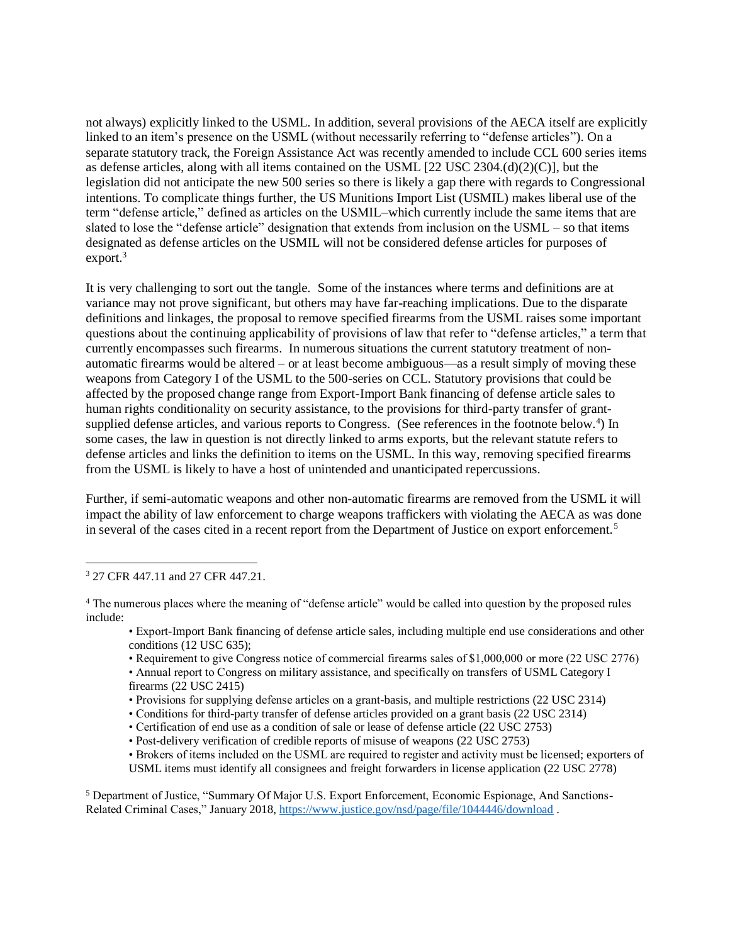not always) explicitly linked to the USML. In addition, several provisions of the AECA itself are explicitly linked to an item's presence on the USML (without necessarily referring to "defense articles"). On a separate statutory track, the Foreign Assistance Act was recently amended to include CCL 600 series items as defense articles, along with all items contained on the USML [22 USC 2304.(d)(2)(C)], but the legislation did not anticipate the new 500 series so there is likely a gap there with regards to Congressional intentions. To complicate things further, the US Munitions Import List (USMIL) makes liberal use of the term "defense article," defined as articles on the USMIL–which currently include the same items that are slated to lose the "defense article" designation that extends from inclusion on the USML – so that items designated as defense articles on the USMIL will not be considered defense articles for purposes of  $export.<sup>3</sup>$ 

It is very challenging to sort out the tangle. Some of the instances where terms and definitions are at variance may not prove significant, but others may have far-reaching implications. Due to the disparate definitions and linkages, the proposal to remove specified firearms from the USML raises some important questions about the continuing applicability of provisions of law that refer to "defense articles," a term that currently encompasses such firearms. In numerous situations the current statutory treatment of nonautomatic firearms would be altered – or at least become ambiguous—as a result simply of moving these weapons from Category I of the USML to the 500-series on CCL. Statutory provisions that could be affected by the proposed change range from Export-Import Bank financing of defense article sales to human rights conditionality on security assistance, to the provisions for third-party transfer of grantsupplied defense articles, and various reports to Congress. (See references in the footnote below.<sup>4</sup>) In some cases, the law in question is not directly linked to arms exports, but the relevant statute refers to defense articles and links the definition to items on the USML. In this way, removing specified firearms from the USML is likely to have a host of unintended and unanticipated repercussions.

Further, if semi-automatic weapons and other non-automatic firearms are removed from the USML it will impact the ability of law enforcement to charge weapons traffickers with violating the AECA as was done in several of the cases cited in a recent report from the Department of Justice on export enforcement.<sup>5</sup>

- Export-Import Bank financing of defense article sales, including multiple end use considerations and other conditions (12 USC 635);
- Requirement to give Congress notice of commercial firearms sales of \$1,000,000 or more (22 USC 2776)
- Annual report to Congress on military assistance, and specifically on transfers of USML Category I firearms (22 USC 2415)
- Provisions for supplying defense articles on a grant-basis, and multiple restrictions (22 USC 2314)
- Conditions for third-party transfer of defense articles provided on a grant basis (22 USC 2314)
- Certification of end use as a condition of sale or lease of defense article (22 USC 2753)
- Post-delivery verification of credible reports of misuse of weapons (22 USC 2753)
- Brokers of items included on the USML are required to register and activity must be licensed; exporters of USML items must identify all consignees and freight forwarders in license application (22 USC 2778)

<sup>5</sup> Department of Justice, "Summary Of Major U.S. Export Enforcement, Economic Espionage, And Sanctions-Related Criminal Cases," January 2018,<https://www.justice.gov/nsd/page/file/1044446/download> .

 $\overline{a}$ <sup>3</sup> 27 CFR 447.11 and 27 CFR 447.21.

<sup>&</sup>lt;sup>4</sup> The numerous places where the meaning of "defense article" would be called into question by the proposed rules include: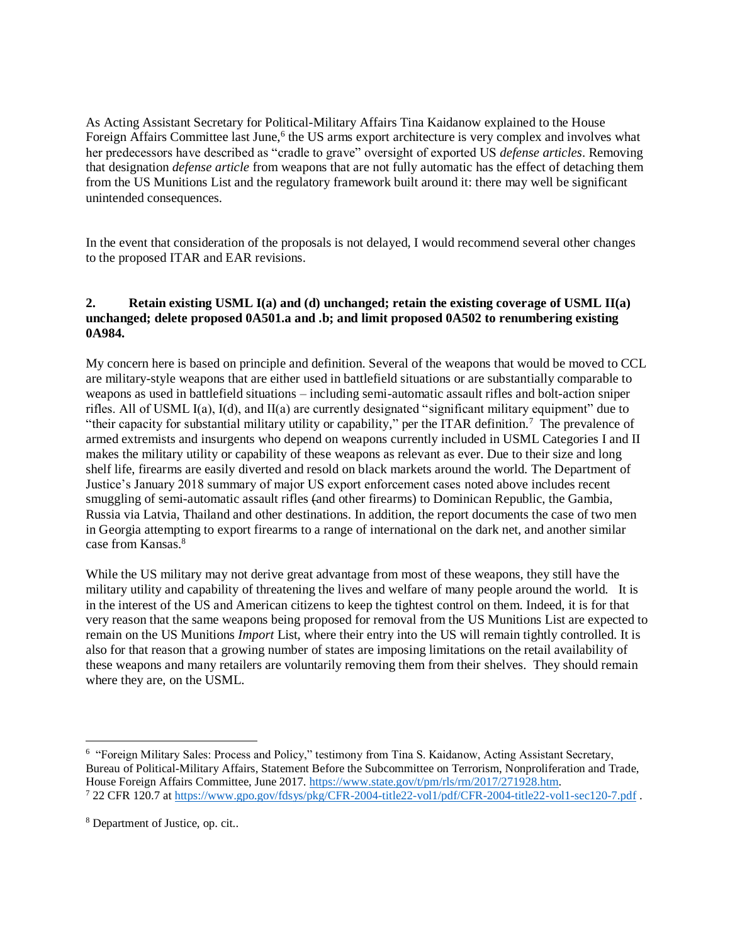As Acting Assistant Secretary for Political-Military Affairs Tina Kaidanow explained to the House Foreign Affairs Committee last June,<sup>6</sup> the US arms export architecture is very complex and involves what her predecessors have described as "cradle to grave" oversight of exported US *defense articles*. Removing that designation *defense article* from weapons that are not fully automatic has the effect of detaching them from the US Munitions List and the regulatory framework built around it: there may well be significant unintended consequences.

In the event that consideration of the proposals is not delayed, I would recommend several other changes to the proposed ITAR and EAR revisions.

## **2. Retain existing USML I(a) and (d) unchanged; retain the existing coverage of USML II(a) unchanged; delete proposed 0A501.a and .b; and limit proposed 0A502 to renumbering existing 0A984.**

My concern here is based on principle and definition. Several of the weapons that would be moved to CCL are military-style weapons that are either used in battlefield situations or are substantially comparable to weapons as used in battlefield situations – including semi-automatic assault rifles and bolt-action sniper rifles. All of USML I(a), I(d), and II(a) are currently designated "significant military equipment" due to "their capacity for substantial military utility or capability," per the ITAR definition.<sup>7</sup> The prevalence of armed extremists and insurgents who depend on weapons currently included in USML Categories I and II makes the military utility or capability of these weapons as relevant as ever. Due to their size and long shelf life, firearms are easily diverted and resold on black markets around the world. The Department of Justice's January 2018 summary of major US export enforcement cases noted above includes recent smuggling of semi-automatic assault rifles (and other firearms) to Dominican Republic, the Gambia, Russia via Latvia, Thailand and other destinations. In addition, the report documents the case of two men in Georgia attempting to export firearms to a range of international on the dark net, and another similar case from Kansas.<sup>8</sup>

While the US military may not derive great advantage from most of these weapons, they still have the military utility and capability of threatening the lives and welfare of many people around the world. It is in the interest of the US and American citizens to keep the tightest control on them. Indeed, it is for that very reason that the same weapons being proposed for removal from the US Munitions List are expected to remain on the US Munitions *Import* List, where their entry into the US will remain tightly controlled. It is also for that reason that a growing number of states are imposing limitations on the retail availability of these weapons and many retailers are voluntarily removing them from their shelves. They should remain where they are, on the USML.

 $\overline{a}$ 

<sup>&</sup>lt;sup>6</sup> "Foreign Military Sales: Process and Policy," testimony from Tina S. Kaidanow, Acting Assistant Secretary, Bureau of Political-Military Affairs, Statement Before the Subcommittee on Terrorism, Nonproliferation and Trade, House Foreign Affairs Committee, June 2017. [https://www.state.gov/t/pm/rls/rm/2017/271928.htm.](https://www.state.gov/t/pm/rls/rm/2017/271928.htm) <sup>7</sup> 22 CFR 120.7 a[t https://www.gpo.gov/fdsys/pkg/CFR-2004-title22-vol1/pdf/CFR-2004-title22-vol1-sec120-7.pdf](https://www.gpo.gov/fdsys/pkg/CFR-2004-title22-vol1/pdf/CFR-2004-title22-vol1-sec120-7.pdf) .

<sup>8</sup> Department of Justice, op. cit..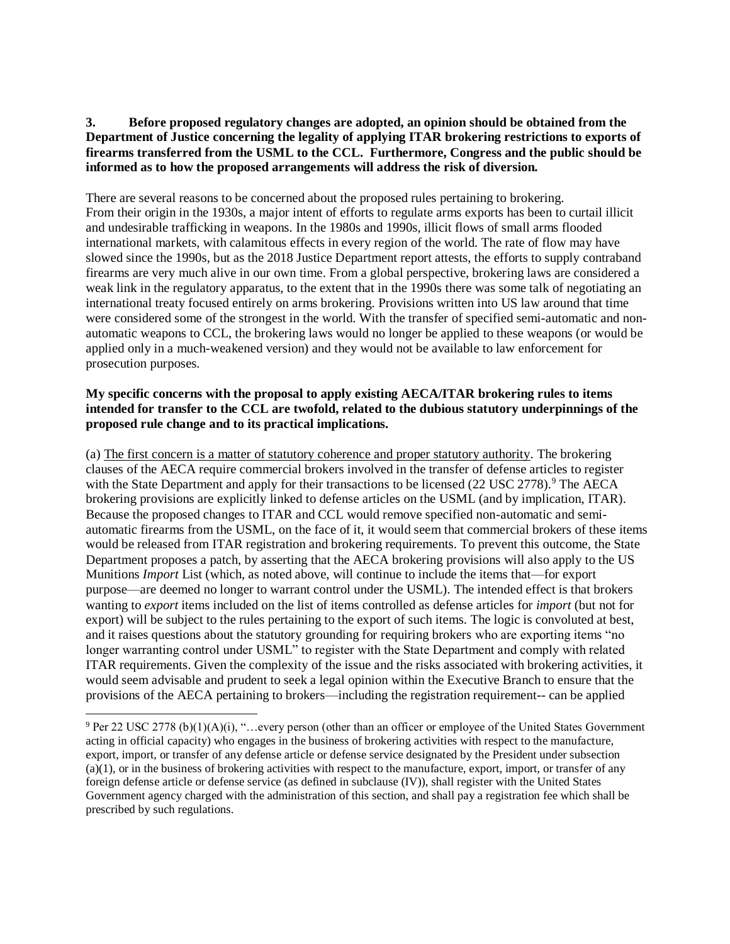## **3. Before proposed regulatory changes are adopted, an opinion should be obtained from the Department of Justice concerning the legality of applying ITAR brokering restrictions to exports of firearms transferred from the USML to the CCL. Furthermore, Congress and the public should be informed as to how the proposed arrangements will address the risk of diversion.**

There are several reasons to be concerned about the proposed rules pertaining to brokering. From their origin in the 1930s, a major intent of efforts to regulate arms exports has been to curtail illicit and undesirable trafficking in weapons. In the 1980s and 1990s, illicit flows of small arms flooded international markets, with calamitous effects in every region of the world. The rate of flow may have slowed since the 1990s, but as the 2018 Justice Department report attests, the efforts to supply contraband firearms are very much alive in our own time. From a global perspective, brokering laws are considered a weak link in the regulatory apparatus, to the extent that in the 1990s there was some talk of negotiating an international treaty focused entirely on arms brokering. Provisions written into US law around that time were considered some of the strongest in the world. With the transfer of specified semi-automatic and nonautomatic weapons to CCL, the brokering laws would no longer be applied to these weapons (or would be applied only in a much-weakened version) and they would not be available to law enforcement for prosecution purposes.

## **My specific concerns with the proposal to apply existing AECA/ITAR brokering rules to items intended for transfer to the CCL are twofold, related to the dubious statutory underpinnings of the proposed rule change and to its practical implications.**

(a) The first concern is a matter of statutory coherence and proper statutory authority. The brokering clauses of the AECA require commercial brokers involved in the transfer of defense articles to register with the State Department and apply for their transactions to be licensed  $(22 \text{ USC } 2778)$ .<sup>9</sup> The AECA brokering provisions are explicitly linked to defense articles on the USML (and by implication, ITAR). Because the proposed changes to ITAR and CCL would remove specified non-automatic and semiautomatic firearms from the USML, on the face of it, it would seem that commercial brokers of these items would be released from ITAR registration and brokering requirements. To prevent this outcome, the State Department proposes a patch, by asserting that the AECA brokering provisions will also apply to the US Munitions *Import* List (which, as noted above, will continue to include the items that—for export purpose—are deemed no longer to warrant control under the USML). The intended effect is that brokers wanting to *export* items included on the list of items controlled as defense articles for *import* (but not for export) will be subject to the rules pertaining to the export of such items. The logic is convoluted at best, and it raises questions about the statutory grounding for requiring brokers who are exporting items "no longer warranting control under USML" to register with the State Department and comply with related ITAR requirements. Given the complexity of the issue and the risks associated with brokering activities, it would seem advisable and prudent to seek a legal opinion within the Executive Branch to ensure that the provisions of the AECA pertaining to brokers—including the registration requirement-- can be applied

 $\overline{a}$ 

<sup>9</sup> Per 22 USC 2778 (b)(1)(A)(i), "…every person (other than an officer or employee of the United States Government acting in official capacity) who engages in the business of brokering activities with respect to the manufacture, export, import, or transfer of any defense article or defense service designated by the President under subsection  $(a)(1)$ , or in the business of brokering activities with respect to the manufacture, export, import, or transfer of any foreign defense article or defense service (as defined in subclause (IV)), shall register with the United States Government agency charged with the administration of this section, and shall pay a registration fee which shall be prescribed by such regulations.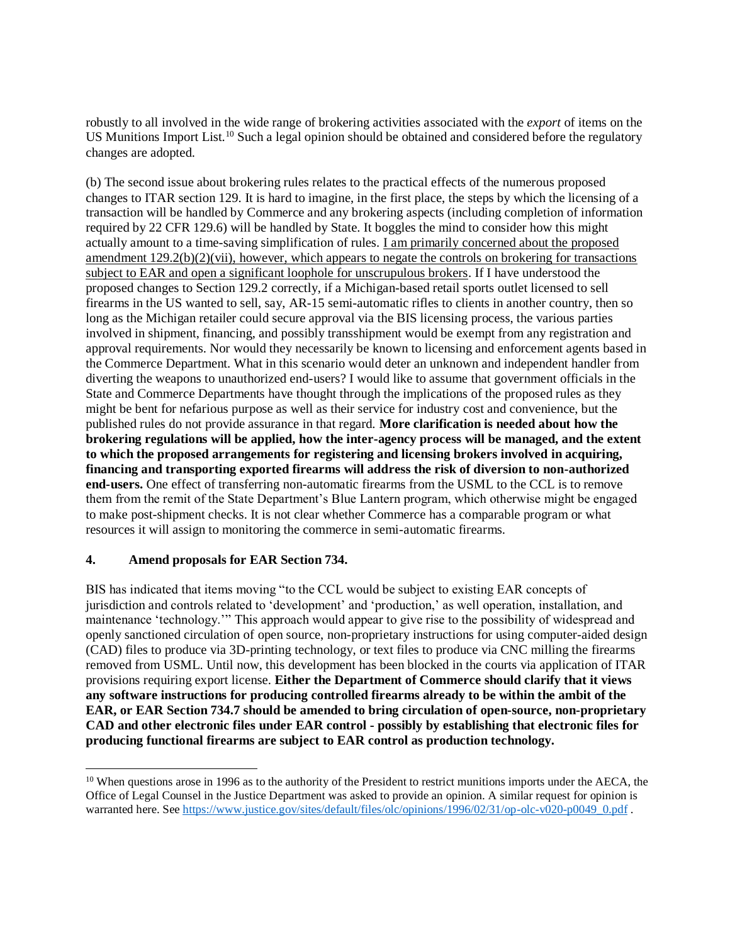robustly to all involved in the wide range of brokering activities associated with the *export* of items on the US Munitions Import List.<sup>10</sup> Such a legal opinion should be obtained and considered before the regulatory changes are adopted.

(b) The second issue about brokering rules relates to the practical effects of the numerous proposed changes to ITAR section 129. It is hard to imagine, in the first place, the steps by which the licensing of a transaction will be handled by Commerce and any brokering aspects (including completion of information required by 22 CFR 129.6) will be handled by State. It boggles the mind to consider how this might actually amount to a time-saving simplification of rules. I am primarily concerned about the proposed amendment  $129.2(b)(2)(vii)$ , however, which appears to negate the controls on brokering for transactions subject to EAR and open a significant loophole for unscrupulous brokers. If I have understood the proposed changes to Section 129.2 correctly, if a Michigan-based retail sports outlet licensed to sell firearms in the US wanted to sell, say, AR-15 semi-automatic rifles to clients in another country, then so long as the Michigan retailer could secure approval via the BIS licensing process, the various parties involved in shipment, financing, and possibly transshipment would be exempt from any registration and approval requirements. Nor would they necessarily be known to licensing and enforcement agents based in the Commerce Department. What in this scenario would deter an unknown and independent handler from diverting the weapons to unauthorized end-users? I would like to assume that government officials in the State and Commerce Departments have thought through the implications of the proposed rules as they might be bent for nefarious purpose as well as their service for industry cost and convenience, but the published rules do not provide assurance in that regard. **More clarification is needed about how the brokering regulations will be applied, how the inter-agency process will be managed, and the extent to which the proposed arrangements for registering and licensing brokers involved in acquiring, financing and transporting exported firearms will address the risk of diversion to non-authorized end-users.** One effect of transferring non-automatic firearms from the USML to the CCL is to remove them from the remit of the State Department's Blue Lantern program, which otherwise might be engaged to make post-shipment checks. It is not clear whether Commerce has a comparable program or what resources it will assign to monitoring the commerce in semi-automatic firearms.

# **4. Amend proposals for EAR Section 734.**

 $\overline{a}$ 

BIS has indicated that items moving "to the CCL would be subject to existing EAR concepts of jurisdiction and controls related to 'development' and 'production,' as well operation, installation, and maintenance 'technology.'" This approach would appear to give rise to the possibility of widespread and openly sanctioned circulation of open source, non-proprietary instructions for using computer-aided design (CAD) files to produce via 3D-printing technology, or text files to produce via CNC milling the firearms removed from USML. Until now, this development has been blocked in the courts via application of ITAR provisions requiring export license. **Either the Department of Commerce should clarify that it views any software instructions for producing controlled firearms already to be within the ambit of the EAR, or EAR Section 734.7 should be amended to bring circulation of open-source, non-proprietary CAD and other electronic files under EAR control - possibly by establishing that electronic files for producing functional firearms are subject to EAR control as production technology.** 

 $10$  When questions arose in 1996 as to the authority of the President to restrict munitions imports under the AECA, the Office of Legal Counsel in the Justice Department was asked to provide an opinion. A similar request for opinion is warranted here. See [https://www.justice.gov/sites/default/files/olc/opinions/1996/02/31/op-olc-v020-p0049\\_0.pdf](https://www.justice.gov/sites/default/files/olc/opinions/1996/02/31/op-olc-v020-p0049_0.pdf) .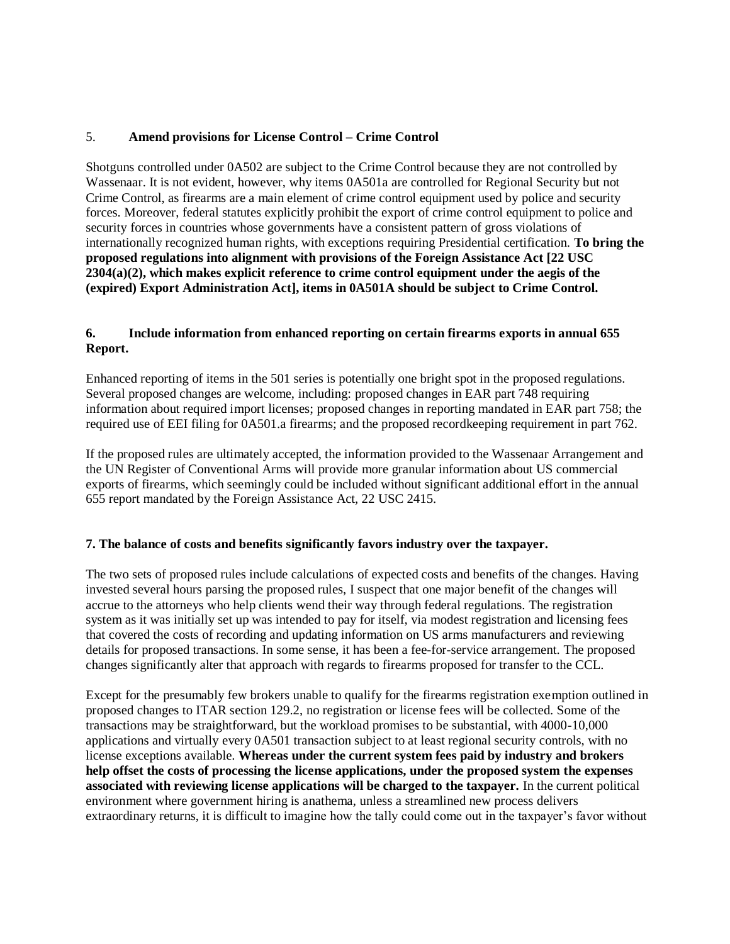## 5. **Amend provisions for License Control – Crime Control**

Shotguns controlled under 0A502 are subject to the Crime Control because they are not controlled by Wassenaar. It is not evident, however, why items 0A501a are controlled for Regional Security but not Crime Control, as firearms are a main element of crime control equipment used by police and security forces. Moreover, federal statutes explicitly prohibit the export of crime control equipment to police and security forces in countries whose governments have a consistent pattern of gross violations of internationally recognized human rights, with exceptions requiring Presidential certification. **To bring the proposed regulations into alignment with provisions of the Foreign Assistance Act [22 USC 2304(a)(2), which makes explicit reference to crime control equipment under the aegis of the (expired) Export Administration Act], items in 0A501A should be subject to Crime Control.** 

## **6. Include information from enhanced reporting on certain firearms exports in annual 655 Report.**

Enhanced reporting of items in the 501 series is potentially one bright spot in the proposed regulations. Several proposed changes are welcome, including: proposed changes in EAR part 748 requiring information about required import licenses; proposed changes in reporting mandated in EAR part 758; the required use of EEI filing for 0A501.a firearms; and the proposed recordkeeping requirement in part 762.

If the proposed rules are ultimately accepted, the information provided to the Wassenaar Arrangement and the UN Register of Conventional Arms will provide more granular information about US commercial exports of firearms, which seemingly could be included without significant additional effort in the annual 655 report mandated by the Foreign Assistance Act, 22 USC 2415.

### **7. The balance of costs and benefits significantly favors industry over the taxpayer.**

The two sets of proposed rules include calculations of expected costs and benefits of the changes. Having invested several hours parsing the proposed rules, I suspect that one major benefit of the changes will accrue to the attorneys who help clients wend their way through federal regulations. The registration system as it was initially set up was intended to pay for itself, via modest registration and licensing fees that covered the costs of recording and updating information on US arms manufacturers and reviewing details for proposed transactions. In some sense, it has been a fee-for-service arrangement. The proposed changes significantly alter that approach with regards to firearms proposed for transfer to the CCL.

Except for the presumably few brokers unable to qualify for the firearms registration exemption outlined in proposed changes to ITAR section 129.2, no registration or license fees will be collected. Some of the transactions may be straightforward, but the workload promises to be substantial, with 4000-10,000 applications and virtually every 0A501 transaction subject to at least regional security controls, with no license exceptions available. **Whereas under the current system fees paid by industry and brokers help offset the costs of processing the license applications, under the proposed system the expenses associated with reviewing license applications will be charged to the taxpayer.** In the current political environment where government hiring is anathema, unless a streamlined new process delivers extraordinary returns, it is difficult to imagine how the tally could come out in the taxpayer's favor without